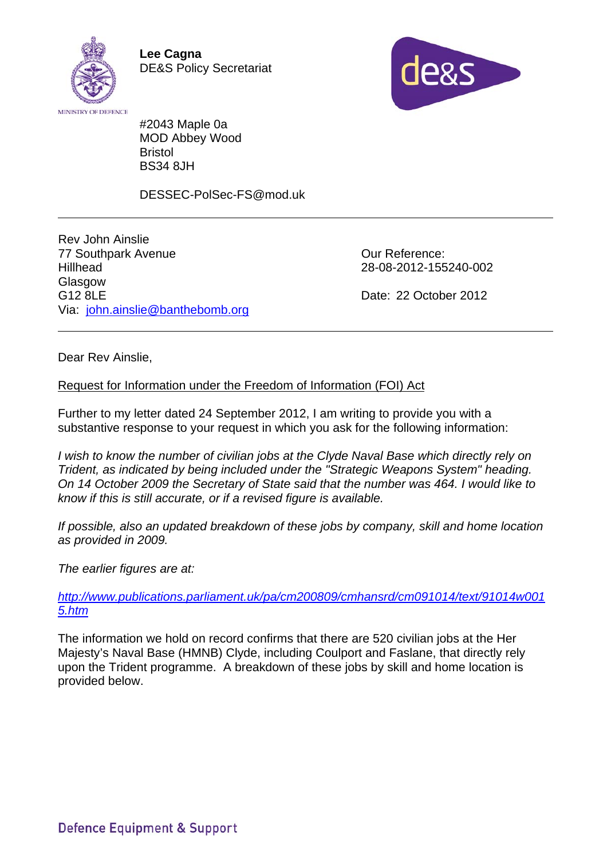

**Lee Cagna**  DE&S Policy Secretariat



#2043 Maple 0a MOD Abbey Wood Bristol BS34 8JH

DESSEC-PolSec-FS@mod.uk

Rev John Ainslie 77 Southpark Avenue **Hillhead Glasgow** G12 8LE Via: john.ainslie@banthebomb.org

 Our Reference: 28-08-2012-155240-002

Date: 22 October 2012

Dear Rev Ainslie,

## Request for Information under the Freedom of Information (FOI) Act

Further to my letter dated 24 September 2012, I am writing to provide you with a substantive response to your request in which you ask for the following information:

*I wish to know the number of civilian jobs at the Clyde Naval Base which directly rely on Trident, as indicated by being included under the "Strategic Weapons System" heading. On 14 October 2009 the Secretary of State said that the number was 464. I would like to know if this is still accurate, or if a revised figure is available.* 

*If possible, also an updated breakdown of these jobs by company, skill and home location as provided in 2009.* 

*The earlier figures are at:* 

*http://www.publications.parliament.uk/pa/cm200809/cmhansrd/cm091014/text/91014w001 5.htm*

The information we hold on record confirms that there are 520 civilian jobs at the Her Majesty's Naval Base (HMNB) Clyde, including Coulport and Faslane, that directly rely upon the Trident programme. A breakdown of these jobs by skill and home location is provided below.